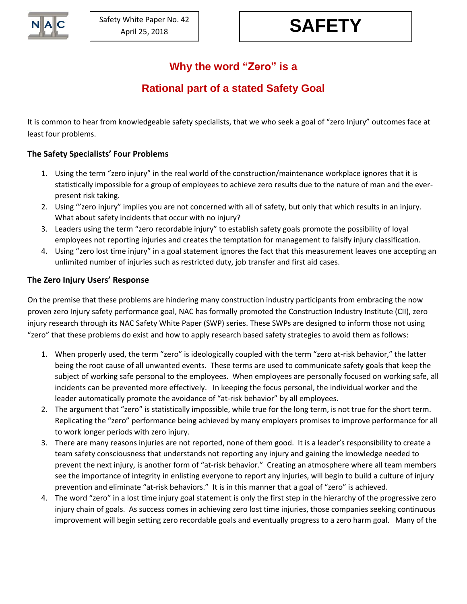# **Why the word "Zero" is a**

## **Rational part of a stated Safety Goal**

It is common to hear from knowledgeable safety specialists, that we who seek a goal of "zero Injury" outcomes face at least four problems.

### **The Safety Specialists' Four Problems**

- 1. Using the term "zero injury" in the real world of the construction/maintenance workplace ignores that it is statistically impossible for a group of employees to achieve zero results due to the nature of man and the everpresent risk taking.
- 2. Using "'zero injury" implies you are not concerned with all of safety, but only that which results in an injury. What about safety incidents that occur with no injury?
- 3. Leaders using the term "zero recordable injury" to establish safety goals promote the possibility of loyal employees not reporting injuries and creates the temptation for management to falsify injury classification.
- 4. Using "zero lost time injury" in a goal statement ignores the fact that this measurement leaves one accepting an unlimited number of injuries such as restricted duty, job transfer and first aid cases.

#### **The Zero Injury Users' Response**

On the premise that these problems are hindering many construction industry participants from embracing the now proven zero Injury safety performance goal, NAC has formally promoted the Construction Industry Institute (CII), zero injury research through its NAC Safety White Paper (SWP) series. These SWPs are designed to inform those not using "zero" that these problems do exist and how to apply research based safety strategies to avoid them as follows:

- 1. When properly used, the term "zero" is ideologically coupled with the term "zero at-risk behavior," the latter being the root cause of all unwanted events. These terms are used to communicate safety goals that keep the subject of working safe personal to the employees. When employees are personally focused on working safe, all incidents can be prevented more effectively. In keeping the focus personal, the individual worker and the leader automatically promote the avoidance of "at-risk behavior" by all employees.
- 2. The argument that "zero" is statistically impossible, while true for the long term, is not true for the short term. Replicating the "zero" performance being achieved by many employers promises to improve performance for all to work longer periods with zero injury.
- 3. There are many reasons injuries are not reported, none of them good. It is a leader's responsibility to create a team safety consciousness that understands not reporting any injury and gaining the knowledge needed to prevent the next injury, is another form of "at-risk behavior." Creating an atmosphere where all team members see the importance of integrity in enlisting everyone to report any injuries, will begin to build a culture of injury prevention and eliminate "at-risk behaviors." It is in this manner that a goal of "zero" is achieved.
- 4. The word "zero" in a lost time injury goal statement is only the first step in the hierarchy of the progressive zero injury chain of goals. As success comes in achieving zero lost time injuries, those companies seeking continuous improvement will begin setting zero recordable goals and eventually progress to a zero harm goal. Many of the